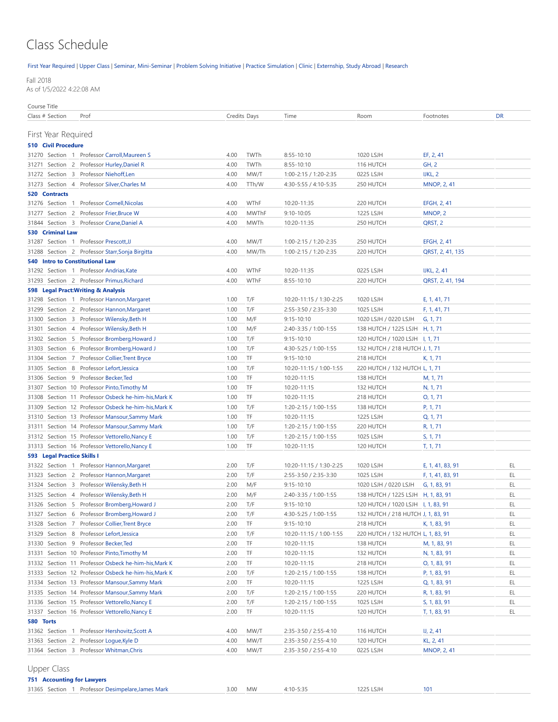## Class Schedule

[First Year Required](#page-0-0) | [Upper Class](#page-0-1) | [Seminar, Mini-Seminar](#page-2-0) | [Problem Solving Initiative |](#page-3-0) [Practice Simulation](#page-3-1) | [Clinic](#page-4-0) | [Externship, Study Abroad](#page-5-0) | [Research](#page-5-1)

Fall 2018

As of 1/5/2022 4:22:08 AM

Course Title

<span id="page-0-0"></span>

| Class # Section                        | Prof                                                 |      | Credits Days | Time                    | Room                               | Footnotes          | DR |
|----------------------------------------|------------------------------------------------------|------|--------------|-------------------------|------------------------------------|--------------------|----|
|                                        |                                                      |      |              |                         |                                    |                    |    |
| First Year Required                    |                                                      |      |              |                         |                                    |                    |    |
| <b>510 Civil Procedure</b>             |                                                      |      |              |                         |                                    |                    |    |
|                                        | 31270 Section 1 Professor Carroll, Maureen S         | 4.00 | TWTh         | 8:55-10:10              | 1020 LSJH                          | EF, 2, 41          |    |
|                                        | 31271 Section 2 Professor Hurley, Daniel R           | 4.00 | TWTh         | 8:55-10:10              | 116 HUTCH                          | <b>GH, 2</b>       |    |
|                                        | 31272 Section 3 Professor Niehoff, Len               | 4.00 | MW/T         | 1:00-2:15 / 1:20-2:35   | 0225 LSJH                          | IJKL, 2            |    |
|                                        | 31273 Section 4 Professor Silver, Charles M          | 4.00 | TTh/W        | 4:30-5:55 / 4:10-5:35   | 250 HUTCH                          | <b>MNOP, 2, 41</b> |    |
| 520 Contracts                          |                                                      |      |              |                         |                                    |                    |    |
|                                        | 31276 Section 1 Professor Cornell, Nicolas           | 4.00 | WThF         | 10:20-11:35             | 220 HUTCH                          | EFGH, 2, 41        |    |
|                                        | 31277 Section 2 Professor Frier, Bruce W             | 4.00 | <b>MWThF</b> | $9:10 - 10:05$          | 1225 LSJH                          | MNOP, 2            |    |
|                                        | 31844 Section 3 Professor Crane, Daniel A            | 4.00 | MWTh         | 10:20-11:35             | 250 HUTCH                          | QRST, 2            |    |
| 530 Criminal Law                       |                                                      |      |              |                         |                                    |                    |    |
|                                        | 31287 Section 1 Professor Prescott, JJ               | 4.00 | MW/T         | 1:00-2:15 / 1:20-2:35   | 250 HUTCH                          | EFGH, 2, 41        |    |
|                                        | 31288 Section 2 Professor Starr, Sonja Birgitta      | 4.00 | MW/Th        | 1:00-2:15 / 1:20-2:35   | 220 HUTCH                          | QRST, 2, 41, 135   |    |
| <b>540 Intro to Constitutional Law</b> |                                                      |      |              |                         |                                    |                    |    |
|                                        | 31292 Section 1 Professor Andrias, Kate              | 4.00 | WThF         | 10:20-11:35             | 0225 LSJH                          | <b>IJKL, 2, 41</b> |    |
|                                        | 31293 Section 2 Professor Primus, Richard            | 4.00 | WThF         | 8:55-10:10              | 220 HUTCH                          | QRST, 2, 41, 194   |    |
|                                        | 598 Legal Pract: Writing & Analysis                  |      |              |                         |                                    |                    |    |
|                                        | 31298 Section 1 Professor Hannon, Margaret           | 1.00 | T/F          | 10:20-11:15 / 1:30-2:25 | 1020 LSJH                          | E, 1, 41, 71       |    |
|                                        | 31299 Section 2 Professor Hannon, Margaret           | 1.00 | T/F          | 2:55-3:50 / 2:35-3:30   | 1025 LSJH                          | F, 1, 41, 71       |    |
|                                        | 31300 Section 3 Professor Wilensky, Beth H           | 1.00 | M/F          | $9:15 - 10:10$          | 1020 LSJH / 0220 LSJH              | G, 1, 71           |    |
|                                        | 31301 Section 4 Professor Wilensky, Beth H           | 1.00 | M/F          | 2:40-3:35 / 1:00-1:55   | 138 HUTCH / 1225 LSJH H, 1, 71     |                    |    |
|                                        | 31302 Section 5 Professor Bromberg, Howard J         | 1.00 | T/F          | $9:15 - 10:10$          | 120 HUTCH / 1020 LSJH 1, 1, 71     |                    |    |
|                                        | 31303 Section 6 Professor Bromberg, Howard J         | 1.00 | T/F          | 4:30-5:25 / 1:00-1:55   | 132 HUTCH / 218 HUTCH J, 1, 71     |                    |    |
| 31304                                  | Section 7 Professor Collier, Trent Bryce             | 1.00 | TF           | $9:15 - 10:10$          | 218 HUTCH                          | K, 1, 71           |    |
|                                        | 31305 Section 8 Professor Lefort, Jessica            | 1.00 | T/F          | 10:20-11:15 / 1:00-1:55 | 220 HUTCH / 132 HUTCH L, 1, 71     |                    |    |
|                                        | 31306 Section 9 Professor Becker, Ted                | 1.00 | TF           | 10:20-11:15             | 138 HUTCH                          | M, 1, 71           |    |
| 31307                                  | Section 10 Professor Pinto, Timothy M                | 1.00 | TF           | 10:20-11:15             | 132 HUTCH                          | N, 1, 71           |    |
|                                        | 31308 Section 11 Professor Osbeck he-him-his, Mark K | 1.00 | TF           | 10:20-11:15             | 218 HUTCH                          | 0, 1, 71           |    |
| 31309                                  | Section 12 Professor Osbeck he-him-his, Mark K       | 1.00 | T/F          | 1:20-2:15 / 1:00-1:55   | 138 HUTCH                          | P, 1, 71           |    |
|                                        | 31310 Section 13 Professor Mansour, Sammy Mark       | 1.00 | TF           | 10:20-11:15             | 1225 LSJH                          | Q, 1, 71           |    |
|                                        | 31311 Section 14 Professor Mansour, Sammy Mark       | 1.00 | T/F          | 1:20-2:15 / 1:00-1:55   | 220 HUTCH                          | R, 1, 71           |    |
|                                        | 31312 Section 15 Professor Vettorello, Nancy E       | 1.00 | T/F          | 1:20-2:15 / 1:00-1:55   | 1025 LSJH                          | S, 1, 71           |    |
|                                        | 31313 Section 16 Professor Vettorello, Nancy E       | 1.00 | TF           | 10:20-11:15             | 120 HUTCH                          | T, 1, 71           |    |
| 593 Legal Practice Skills I            |                                                      |      |              |                         |                                    |                    |    |
|                                        | 31322 Section 1 Professor Hannon, Margaret           | 2.00 | T/F          | 10:20-11:15 / 1:30-2:25 | 1020 LSJH                          | E, 1, 41, 83, 91   | EL |
|                                        | 31323 Section 2 Professor Hannon, Margaret           | 2.00 | T/F          | 2:55-3:50 / 2:35-3:30   | 1025 LSJH                          | F, 1, 41, 83, 91   | EL |
|                                        | 31324 Section 3 Professor Wilensky, Beth H           | 2.00 | M/F          | $9:15 - 10:10$          | 1020 LSJH / 0220 LSJH              | G, 1, 83, 91       | EL |
|                                        | 31325 Section 4 Professor Wilensky, Beth H           | 2.00 | M/F          | 2:40-3:35 / 1:00-1:55   | 138 HUTCH / 1225 LSJH H, 1, 83, 91 |                    | EL |
|                                        | 31326 Section 5 Professor Bromberg, Howard J         | 2.00 | T/F          | $9:15 - 10:10$          |                                    |                    | EL |
|                                        | 31327 Section 6 Professor Bromberg, Howard J         | 2.00 | T/F          | 4:30-5:25 / 1:00-1:55   | 132 HUTCH / 218 HUTCH J, 1, 83, 91 |                    | EL |
|                                        | 31328 Section 7 Professor Collier, Trent Bryce       | 2.00 | TF           | $9:15 - 10:10$          | 218 HUTCH                          | K, 1, 83, 91       | EL |
|                                        | 31329 Section 8 Professor Lefort, Jessica            | 2.00 | T/F          | 10:20-11:15 / 1:00-1:55 | 220 HUTCH / 132 HUTCH L, 1, 83, 91 |                    | EL |
|                                        | 31330 Section 9 Professor Becker, Ted                | 2.00 | TF           | 10:20-11:15             | 138 HUTCH                          | M, 1, 83, 91       | EL |
|                                        | 31331 Section 10 Professor Pinto, Timothy M          | 2.00 | TF           | 10:20-11:15             | 132 HUTCH                          | N, 1, 83, 91       | EL |
|                                        | 31332 Section 11 Professor Osbeck he-him-his, Mark K | 2.00 | TF           | 10:20-11:15             | 218 HUTCH                          | O, 1, 83, 91       | EL |
|                                        | 31333 Section 12 Professor Osbeck he-him-his, Mark K | 2.00 | T/F          | 1:20-2:15 / 1:00-1:55   | 138 HUTCH                          | P, 1, 83, 91       | EL |
|                                        | 31334 Section 13 Professor Mansour, Sammy Mark       | 2.00 | TF           | 10:20-11:15             | 1225 LSJH                          | Q, 1, 83, 91       | EL |
|                                        | 31335 Section 14 Professor Mansour, Sammy Mark       | 2.00 | T/F          | 1:20-2:15 / 1:00-1:55   | 220 HUTCH                          | R, 1, 83, 91       | EL |
|                                        | 31336 Section 15 Professor Vettorello, Nancy E       | 2.00 | T/F          | 1:20-2:15 / 1:00-1:55   | 1025 LSJH                          | S, 1, 83, 91       | EL |
|                                        | 31337 Section 16 Professor Vettorello, Nancy E       | 2.00 | TF           | 10:20-11:15             | 120 HUTCH                          | T, 1, 83, 91       | EL |
| 580 Torts                              |                                                      |      |              |                         |                                    |                    |    |
|                                        | 31362 Section 1 Professor Hershovitz, Scott A        | 4.00 | MW/T         | 2:35-3:50 / 2:55-4:10   | 116 HUTCH                          | IJ, 2, 41          |    |
|                                        | 31363 Section 2 Professor Logue, Kyle D              | 4.00 | MW/T         | 2:35-3:50 / 2:55-4:10   | 120 HUTCH                          | KL, 2, 41          |    |
|                                        | 31364 Section 3 Professor Whitman, Chris             | 4.00 | MW/T         | 2:35-3:50 / 2:55-4:10   | 0225 LSJH                          | <b>MNOP, 2, 41</b> |    |
|                                        |                                                      |      |              |                         |                                    |                    |    |

<span id="page-0-1"></span>Upper Class

**751 Accounting for Lawyers**

| 31365 Section |  | Professor Desimpelare, James Mark | ۔00 | <b>MW</b> | $4:10 - 5:3$<br>ر.ر ب | 225 LSJH | 101 |  |
|---------------|--|-----------------------------------|-----|-----------|-----------------------|----------|-----|--|
|               |  |                                   |     |           |                       |          |     |  |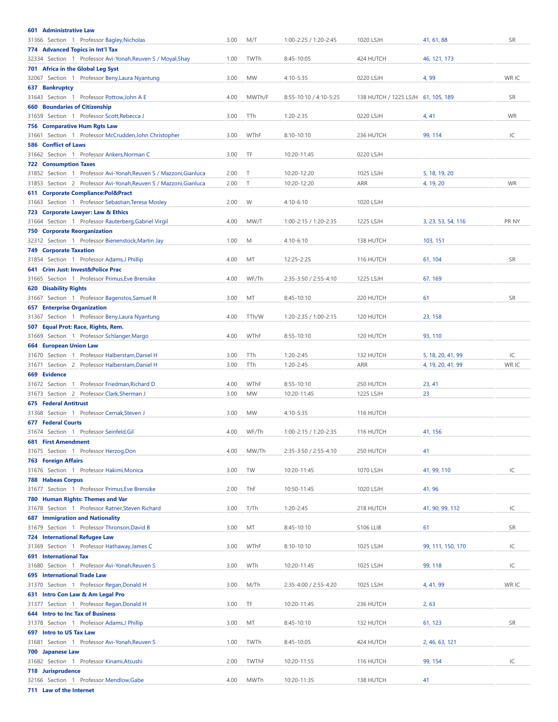| 601 Administrative Law                                                              |      |           |                        |                                    |                    |           |
|-------------------------------------------------------------------------------------|------|-----------|------------------------|------------------------------------|--------------------|-----------|
| 31366 Section 1 Professor Bagley, Nicholas                                          | 3.00 | M/T       | 1:00-2:25 / 1:20-2:45  | 1020 LSJH                          | 41, 61, 88         | <b>SR</b> |
| 774 Advanced Topics in Int'l Tax                                                    |      |           |                        |                                    |                    |           |
| Section 1 Professor Avi-Yonah, Reuven S / Moyal, Shay<br>32334                      | 1.00 | TWTh      | 8:45-10:05             | 424 HUTCH                          | 46, 121, 173       |           |
| 701 Africa in the Global Leg Syst                                                   |      |           |                        |                                    |                    |           |
| Section 1 Professor Beny, Laura Nyantung<br>32067                                   | 3.00 | <b>MW</b> | 4:10-5:35              | 0220 LSJH                          | 4,99               | WR IC     |
| 637 Bankruptcy                                                                      |      |           |                        |                                    |                    |           |
| Section 1 Professor Pottow, John A E<br>31643                                       | 4.00 | MWTh/F    | 8:55-10:10 / 4:10-5:25 | 138 HUTCH / 1225 LSJH 61, 105, 189 |                    | <b>SR</b> |
| <b>660 Boundaries of Citizenship</b>                                                |      |           |                        |                                    |                    |           |
| 31659 Section 1 Professor Scott, Rebecca J<br>756 Comparative Hum Rgts Law          | 3.00 | TTh       | 1:20-2:35              | 0220 LSJH                          | 4, 41              | <b>WR</b> |
| Section 1 Professor McCrudden, John Christopher<br>31661                            | 3.00 | WThF      | 8:10-10:10             | 236 HUTCH                          | 99, 114            | IC        |
| <b>586 Conflict of Laws</b>                                                         |      |           |                        |                                    |                    |           |
| 31662 Section 1 Professor Ankers, Norman C                                          | 3.00 | TF        | 10:20-11:45            | 0220 LSJH                          |                    |           |
| <b>722 Consumption Taxes</b>                                                        |      |           |                        |                                    |                    |           |
| 31852 Section 1 Professor Avi-Yonah, Reuven S / Mazzoni, Gianluca                   | 2.00 | Т         | 10:20-12:20            | 1025 LSJH                          | 5, 18, 19, 20      |           |
| 31853 Section 2 Professor Avi-Yonah, Reuven S / Mazzoni, Gianluca                   | 2.00 | $\top$    | 10:20-12:20            | ARR                                | 4, 19, 20          | <b>WR</b> |
| 611 Corporate Compliance:Pol&Pract                                                  |      |           |                        |                                    |                    |           |
| 31663 Section 1 Professor Sebastian, Teresa Mosley                                  | 2.00 | W         | $4:10-6:10$            | 1020 LSJH                          |                    |           |
| 723 Corporate Lawyer: Law & Ethics                                                  |      |           |                        |                                    |                    |           |
| 31664 Section 1 Professor Rauterberg, Gabriel Virgil                                | 4.00 | MW/T      | 1:00-2:15 / 1:20-2:35  | 1225 LSJH                          | 3, 23, 53, 54, 116 | PR NY     |
| <b>750 Corporate Reorganization</b>                                                 |      |           |                        |                                    |                    |           |
| 32312 Section 1 Professor Bienenstock, Martin Jay                                   | 1.00 | M         | $4:10-6:10$            | 138 HUTCH                          | 103, 151           |           |
| <b>749 Corporate Taxation</b><br>31854 Section 1 Professor Adams, J Phillip         | 4.00 | МT        | 12:25-2:25             | 116 HUTCH                          | 61, 104            | <b>SR</b> |
| 641 Crim Just: Invest&Police Prac                                                   |      |           |                        |                                    |                    |           |
| 31665 Section 1 Professor Primus, Eve Brensike                                      | 4.00 | WF/Th     | 2:35-3:50 / 2:55-4:10  | 1225 LSJH                          | 67, 169            |           |
| <b>620 Disability Rights</b>                                                        |      |           |                        |                                    |                    |           |
| 31667 Section 1 Professor Bagenstos, Samuel R                                       | 3.00 | MT        | 8:45-10:10             | 220 HUTCH                          | 61                 | <b>SR</b> |
| <b>657 Enterprise Organization</b>                                                  |      |           |                        |                                    |                    |           |
| 31367 Section 1 Professor Beny, Laura Nyantung                                      | 4.00 | TTh/W     | 1:20-2:35 / 1:00-2:15  | 120 HUTCH                          | 23, 158            |           |
| 507 Equal Prot: Race, Rights, Rem.                                                  |      |           |                        |                                    |                    |           |
| 31669 Section 1 Professor Schlanger, Margo                                          | 4.00 | WThF      | $8:55 - 10:10$         | 120 HUTCH                          | 93, 110            |           |
| <b>664 European Union Law</b>                                                       |      |           |                        |                                    |                    |           |
| 31670 Section 1 Professor Halberstam, Daniel H                                      | 3.00 | TTh       | 1:20-2:45              | 132 HUTCH                          | 5, 18, 20, 41, 99  | IC        |
|                                                                                     |      |           |                        |                                    |                    |           |
| Section 2 Professor Halberstam, Daniel H<br>31671                                   | 3.00 | TTh       | 1:20-2:45              | ARR                                | 4, 19, 20, 41, 99  | WR IC     |
| 669 Evidence                                                                        |      |           |                        |                                    |                    |           |
| 31672 Section 1 Professor Friedman, Richard D                                       | 4.00 | WThF      | 8:55-10:10             | 250 HUTCH                          | 23, 41             |           |
| 31673 Section 2 Professor Clark, Sherman J                                          | 3.00 | <b>MW</b> | 10:20-11:45            | 1225 LSJH                          | 23                 |           |
| <b>675 Federal Antitrust</b>                                                        |      | <b>MW</b> |                        |                                    |                    |           |
| 31368 Section 1 Professor Cernak, Steven J<br><b>677 Federal Courts</b>             | 3.00 |           | 4:10-5:35              | 116 HUTCH                          |                    |           |
| 31674 Section 1 Professor Seinfeld, Gil                                             | 4.00 | WF/Th     | 1:00-2:15 / 1:20-2:35  | 116 HUTCH                          | 41, 156            |           |
| <b>681 First Amendment</b>                                                          |      |           |                        |                                    |                    |           |
| 31675 Section 1 Professor Herzog, Don                                               | 4.00 | MW/Th     | 2:35-3:50 / 2:55-4:10  | 250 HUTCH                          | 41                 |           |
| <b>763 Foreign Affairs</b>                                                          |      |           |                        |                                    |                    |           |
| 31676 Section 1 Professor Hakimi, Monica                                            | 3.00 | TW        | 10:20-11:45            | 1070 LSJH                          | 41, 99, 110        | IC        |
| <b>788 Habeas Corpus</b>                                                            |      |           |                        |                                    |                    |           |
| Section 1 Professor Primus, Eve Brensike<br>31677                                   | 2.00 | ThF       | 10:50-11:45            | 1020 LSJH                          | 41, 96             |           |
| 780 Human Rights: Themes and Var                                                    |      |           |                        |                                    |                    |           |
| 31678 Section 1 Professor Ratner, Steven Richard                                    | 3.00 | T/Th      | 1:20-2:45              | 218 HUTCH                          | 41, 90, 99, 112    | IC        |
| <b>687 Immigration and Nationality</b>                                              |      |           |                        |                                    |                    |           |
| 31679 Section 1 Professor Thronson, David B                                         | 3.00 | MT        | 8:45-10:10             | S106 LLIB                          | 61                 | <b>SR</b> |
| <b>724 International Refugee Law</b><br>31369 Section 1 Professor Hathaway, James C | 3.00 | WThF      | 8:10-10:10             | 1025 LSJH                          | 99, 111, 150, 170  | IC        |
| <b>691 International Tax</b>                                                        |      |           |                        |                                    |                    |           |
| 31680 Section 1 Professor Avi-Yonah, Reuven S                                       | 3.00 | WTh       | 10:20-11:45            | 1025 LSJH                          | 99, 118            | IC        |
| 695 International Trade Law                                                         |      |           |                        |                                    |                    |           |
| 31370 Section 1 Professor Regan, Donald H                                           | 3.00 | M/Th      | 2:35-4:00 / 2:55-4:20  | 1025 LSJH                          | 4, 41, 99          | WR IC     |
| 631 Intro Con Law & Am Legal Pro                                                    |      |           |                        |                                    |                    |           |
| 31377 Section 1 Professor Regan, Donald H                                           | 3.00 | TF        | 10:20-11:45            | 236 HUTCH                          | 2,63               |           |
| <b>644 Intro to Inc Tax of Business</b>                                             |      |           |                        |                                    |                    |           |
| 31378 Section 1 Professor Adams, J Phillip                                          | 3.00 | MT        | 8:45-10:10             | 132 HUTCH                          | 61, 123            | <b>SR</b> |
| 697 Intro to US Tax Law                                                             |      |           |                        |                                    |                    |           |
| 31681 Section 1 Professor Avi-Yonah, Reuven S                                       | 1.00 | TWTh      | 8:45-10:05             | 424 HUTCH                          | 2, 46, 63, 121     |           |
| 700 Japanese Law<br>31682 Section 1 Professor Kinami, Atsushi                       | 2.00 | TWThF     | 10:20-11:55            | 116 HUTCH                          | 99, 154            | IC        |
| 718 Jurisprudence                                                                   |      |           |                        |                                    |                    |           |
| 32166 Section 1 Professor Mendlow, Gabe                                             | 4.00 | MWTh      | 10:20-11:35            | 138 HUTCH                          | 41                 |           |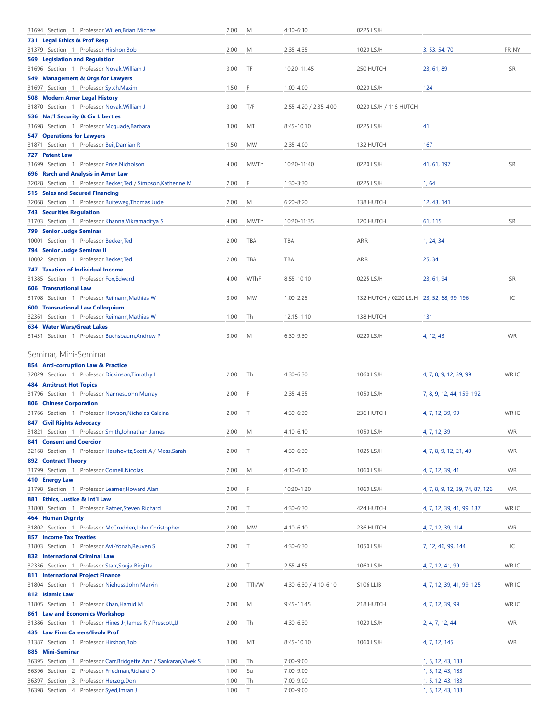<span id="page-2-0"></span>

| 31694 Section 1 Professor Willen, Brian Michael                                  | 2.00 | M           | 4:10-6:10             | 0225 LSJH                                 |                                 |           |
|----------------------------------------------------------------------------------|------|-------------|-----------------------|-------------------------------------------|---------------------------------|-----------|
| 731 Legal Ethics & Prof Resp                                                     |      |             |                       |                                           |                                 |           |
| 31379 Section 1 Professor Hirshon, Bob                                           | 2.00 | M           | $2:35 - 4:35$         | 1020 LSJH                                 | 3, 53, 54, 70                   | PR NY     |
| <b>569 Legislation and Regulation</b>                                            |      |             |                       |                                           |                                 |           |
| 31696 Section 1 Professor Novak, William J                                       | 3.00 | TF          | 10:20-11:45           | 250 HUTCH                                 | 23, 61, 89                      | <b>SR</b> |
| 549 Management & Orgs for Lawyers                                                |      |             |                       |                                           |                                 |           |
| 31697 Section 1 Professor Sytch, Maxim                                           | 1.50 | F           | $1:00 - 4:00$         | 0220 LSJH                                 | 124                             |           |
| 508 Modern Amer Legal History                                                    |      |             |                       |                                           |                                 |           |
| 31870 Section 1 Professor Novak, William J                                       | 3.00 | T/F         | 2:55-4:20 / 2:35-4:00 | 0220 LSJH / 116 HUTCH                     |                                 |           |
| 536 Nat'l Security & Civ Liberties<br>31698 Section 1 Professor Mcquade, Barbara | 3.00 | MT          | 8:45-10:10            | 0225 LSJH                                 | 41                              |           |
| <b>547 Operations for Lawyers</b>                                                |      |             |                       |                                           |                                 |           |
| 31871 Section 1 Professor Beil, Damian R                                         | 1.50 | <b>MW</b>   | $2:35 - 4:00$         | 132 HUTCH                                 | 167                             |           |
| 727 Patent Law                                                                   |      |             |                       |                                           |                                 |           |
| 31699 Section 1 Professor Price, Nicholson                                       | 4.00 | <b>MWTh</b> | 10:20-11:40           | 0220 LSJH                                 | 41, 61, 197                     | <b>SR</b> |
| 696 Rsrch and Analysis in Amer Law                                               |      |             |                       |                                           |                                 |           |
| 32028 Section 1 Professor Becker, Ted / Simpson, Katherine M                     | 2.00 | F           | $1:30-3:30$           | 0225 LSJH                                 | 1,64                            |           |
| 515 Sales and Secured Financing                                                  |      |             |                       |                                           |                                 |           |
| 32068 Section 1 Professor Buiteweg, Thomas Jude                                  | 2.00 | M           | $6:20 - 8:20$         | 138 HUTCH                                 | 12, 43, 141                     |           |
| <b>743 Securities Regulation</b>                                                 |      |             |                       |                                           |                                 |           |
| 31703 Section 1 Professor Khanna, Vikramaditya S                                 | 4.00 | <b>MWTh</b> | 10:20-11:35           | 120 HUTCH                                 | 61, 115                         | <b>SR</b> |
| <b>799 Senior Judge Seminar</b>                                                  |      |             |                       |                                           |                                 |           |
| 10001 Section 1 Professor Becker, Ted                                            | 2.00 | <b>TBA</b>  | TBA                   | <b>ARR</b>                                | 1, 24, 34                       |           |
| 794 Senior Judge Seminar II                                                      |      |             |                       |                                           |                                 |           |
| 10002 Section 1 Professor Becker, Ted                                            | 2.00 | <b>TBA</b>  | TBA                   | <b>ARR</b>                                | 25, 34                          |           |
| <b>747 Taxation of Individual Income</b>                                         |      |             |                       |                                           |                                 |           |
| 31385 Section 1 Professor Fox, Edward                                            | 4.00 | WThF        | $8:55 - 10:10$        | 0225 LSJH                                 | 23, 61, 94                      | <b>SR</b> |
| <b>606 Transnational Law</b>                                                     |      |             |                       |                                           |                                 |           |
| 31708 Section 1 Professor Reimann, Mathias W                                     | 3.00 | <b>MW</b>   | $1:00 - 2:25$         | 132 HUTCH / 0220 LSJH 23, 52, 68, 99, 196 |                                 | IC        |
| <b>600 Transnational Law Colloquium</b>                                          |      |             |                       |                                           |                                 |           |
| 32361 Section 1 Professor Reimann, Mathias W                                     | 1.00 | Th          | 12:15-1:10            | 138 HUTCH                                 | 131                             |           |
| 634 Water Wars/Great Lakes                                                       |      |             |                       |                                           |                                 |           |
| 31431 Section 1 Professor Buchsbaum, Andrew P                                    | 3.00 | M           | 6:30-9:30             | 0220 LSJH                                 | 4, 12, 43                       | <b>WR</b> |
|                                                                                  |      |             |                       |                                           |                                 |           |
| Seminar, Mini-Seminar                                                            |      |             |                       |                                           |                                 |           |
| 854 Anti-corruption Law & Practice                                               |      |             |                       |                                           |                                 |           |
| 32029 Section 1 Professor Dickinson, Timothy L                                   | 2.00 | Th          | 4:30-6:30             | 1060 LSJH                                 | 4, 7, 8, 9, 12, 39, 99          | WR IC     |
| <b>484 Antitrust Hot Topics</b>                                                  |      |             |                       |                                           |                                 |           |
| 31796 Section 1 Professor Nannes, John Murray                                    | 2.00 | F           | $2:35 - 4:35$         | 1050 LSJH                                 | 7, 8, 9, 12, 44, 159, 192       |           |
| <b>806 Chinese Corporation</b>                                                   |      |             |                       |                                           |                                 |           |
| 31766 Section 1 Professor Howson, Nicholas Calcina                               | 2.00 | $\top$      | 4:30-6:30             | 236 HUTCH                                 | 4, 7, 12, 39, 99                | WR IC     |
| <b>847 Civil Rights Advocacy</b>                                                 |      |             |                       |                                           |                                 |           |
| 31821 Section 1 Professor Smith, Johnathan James                                 | 2.00 | M           | $4:10-6:10$           | 1050 LSJH                                 | 4, 7, 12, 39                    | <b>WR</b> |
| <b>841 Consent and Coercion</b>                                                  |      |             |                       |                                           |                                 |           |
| 32168 Section 1 Professor Hershovitz, Scott A / Moss, Sarah                      | 2.00 | $\top$      | 4:30-6:30             | 1025 LSJH                                 | 4, 7, 8, 9, 12, 21, 40          | <b>WR</b> |
| <b>892 Contract Theory</b>                                                       |      |             |                       |                                           |                                 |           |
| 31799 Section 1 Professor Cornell, Nicolas                                       | 2.00 | M           | 4:10-6:10             | 1060 LSJH                                 | 4, 7, 12, 39, 41                | <b>WR</b> |
| 410 Energy Law                                                                   |      |             |                       |                                           |                                 |           |
| 31798 Section 1 Professor Learner, Howard Alan                                   | 2.00 | F           | 10:20-1:20            | 1060 LSJH                                 | 4, 7, 8, 9, 12, 39, 74, 87, 126 | <b>WR</b> |
| 881 Ethics, Justice & Int'l Law                                                  |      |             |                       |                                           |                                 |           |
| 31800 Section 1 Professor Ratner, Steven Richard                                 | 2.00 | Т           | 4:30-6:30             | 424 HUTCH                                 | 4, 7, 12, 39, 41, 99, 137       | WR IC     |
| <b>464 Human Dignity</b>                                                         |      |             |                       |                                           |                                 |           |
| 31802 Section 1 Professor McCrudden, John Christopher                            | 2.00 | <b>MW</b>   | 4:10-6:10             | 236 HUTCH                                 | 4, 7, 12, 39, 114               | <b>WR</b> |
| <b>857 Income Tax Treaties</b>                                                   |      |             |                       |                                           |                                 |           |
| 31803 Section 1 Professor Avi-Yonah, Reuven S                                    | 2.00 | Т           | 4:30-6:30             | 1050 LSJH                                 | 7, 12, 46, 99, 144              | IC        |
| 832 International Criminal Law                                                   |      |             |                       |                                           |                                 |           |
| 32336 Section 1 Professor Starr, Sonja Birgitta                                  | 2.00 | Т           | 2:55-4:55             | 1060 LSJH                                 | 4, 7, 12, 41, 99                | WR IC     |
| 811 International Project Finance                                                |      |             |                       |                                           |                                 |           |
| Section 1 Professor Niehuss, John Marvin<br>31804                                | 2.00 | TTh/W       | 4:30-6:30 / 4:10-6:10 | S106 LLIB                                 | 4, 7, 12, 39, 41, 99, 125       | WR IC     |
| 812 Islamic Law                                                                  |      |             |                       |                                           |                                 |           |
| 31805 Section 1 Professor Khan, Hamid M                                          | 2.00 | M           | 9:45-11:45            | 218 HUTCH                                 |                                 | WR IC     |
| 861 Law and Economics Workshop                                                   |      |             |                       |                                           | 4, 7, 12, 39, 99                |           |
|                                                                                  | 2.00 | Th          | 4:30-6:30             | 1020 LSJH                                 |                                 | <b>WR</b> |
| 31386 Section 1 Professor Hines Jr, James R / Prescott, JJ                       |      |             |                       |                                           | 2, 4, 7, 12, 44                 |           |
| 435 Law Firm Careers/Evolv Prof                                                  |      |             |                       |                                           |                                 |           |
| 31387 Section 1 Professor Hirshon, Bob                                           | 3.00 | MT          | 8:45-10:10            | 1060 LSJH                                 | 4, 7, 12, 145                   | <b>WR</b> |
| 885 Mini-Seminar                                                                 |      |             |                       |                                           |                                 |           |
| 36395 Section 1 Professor Carr, Bridgette Ann / Sankaran, Vivek S                | 1.00 | Th          | 7:00-9:00             |                                           | 1, 5, 12, 43, 183               |           |
| 36396 Section 2 Professor Friedman, Richard D                                    | 1.00 | Su          | 7:00-9:00             |                                           | 1, 5, 12, 43, 183               |           |
| 36397 Section 3 Professor Herzog, Don<br>36398 Section 4 Professor Syed, Imran J | 1.00 | Th          | 7:00-9:00             |                                           | 1, 5, 12, 43, 183               |           |
|                                                                                  | 1.00 | T           | 7:00-9:00             |                                           | 1, 5, 12, 43, 183               |           |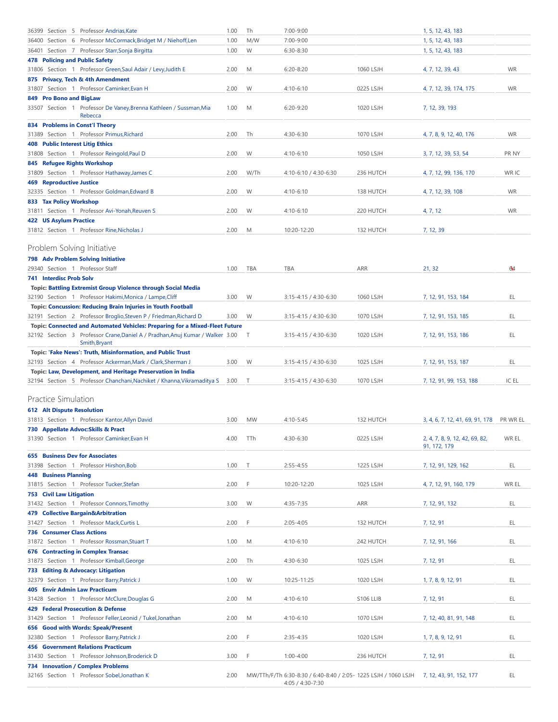<span id="page-3-1"></span><span id="page-3-0"></span>

|       |                                 | 36399 Section 5 Professor Andrias, Kate                                          | 1.00 | Th        | 7:00-9:00                                                       |           | 1, 5, 12, 43, 183                              |             |
|-------|---------------------------------|----------------------------------------------------------------------------------|------|-----------|-----------------------------------------------------------------|-----------|------------------------------------------------|-------------|
|       |                                 | 36400 Section 6 Professor McCormack, Bridget M / Niehoff, Len                    | 1.00 | M/W       | 7:00-9:00                                                       |           | 1, 5, 12, 43, 183                              |             |
|       |                                 | 36401 Section 7 Professor Starr, Sonja Birgitta                                  | 1.00 | W         | 6:30-8:30                                                       |           | 1, 5, 12, 43, 183                              |             |
|       |                                 | <b>478 Policing and Public Safety</b>                                            |      |           |                                                                 |           |                                                |             |
|       |                                 | 31806 Section 1 Professor Green, Saul Adair / Levy, Judith E                     | 2.00 | M         | $6:20 - 8:20$                                                   | 1060 LSJH | 4, 7, 12, 39, 43                               | <b>WR</b>   |
|       |                                 | 875 Privacy, Tech & 4th Amendment                                                |      |           |                                                                 |           |                                                |             |
|       |                                 | 31807 Section 1 Professor Caminker, Evan H                                       | 2.00 | W         | $4:10-6:10$                                                     | 0225 LSJH | 4, 7, 12, 39, 174, 175                         | WR          |
|       |                                 |                                                                                  |      |           |                                                                 |           |                                                |             |
|       |                                 | 849 Pro Bono and BigLaw                                                          |      |           |                                                                 |           |                                                |             |
|       |                                 | 33507 Section 1 Professor De Vaney, Brenna Kathleen / Sussman, Mia<br>Rebecca    | 1.00 | M         | $6:20-9:20$                                                     | 1020 LSJH | 7, 12, 39, 193                                 |             |
|       |                                 |                                                                                  |      |           |                                                                 |           |                                                |             |
|       |                                 | 834 Problems in Const'l Theory<br>31389 Section 1 Professor Primus, Richard      | 2.00 | Th        | 4:30-6:30                                                       | 1070 LSJH |                                                | <b>WR</b>   |
|       |                                 |                                                                                  |      |           |                                                                 |           | 4, 7, 8, 9, 12, 40, 176                        |             |
|       |                                 | <b>408 Public Interest Litig Ethics</b>                                          |      |           |                                                                 |           |                                                |             |
|       |                                 | 31808 Section 1 Professor Reingold, Paul D                                       | 2.00 | W         | $4:10-6:10$                                                     | 1050 LSJH | 3, 7, 12, 39, 53, 54                           | <b>PRNY</b> |
|       |                                 | 845 Refugee Rights Workshop                                                      |      |           |                                                                 |           |                                                |             |
|       |                                 | 31809 Section 1 Professor Hathaway, James C                                      | 2.00 | W/Th      | 4:10-6:10 / 4:30-6:30                                           | 236 HUTCH | 4, 7, 12, 99, 136, 170                         | WR IC       |
|       |                                 | <b>469 Reproductive Justice</b>                                                  |      |           |                                                                 |           |                                                |             |
|       |                                 | 32335 Section 1 Professor Goldman, Edward B                                      | 2.00 | W         | $4:10-6:10$                                                     | 138 HUTCH | 4, 7, 12, 39, 108                              | <b>WR</b>   |
|       |                                 | 833 Tax Policy Workshop                                                          |      |           |                                                                 |           |                                                |             |
|       |                                 | 31811 Section 1 Professor Avi-Yonah, Reuven S                                    | 2.00 | W         | $4:10-6:10$                                                     | 220 HUTCH | 4, 7, 12                                       | <b>WR</b>   |
|       | 422 US Asylum Practice          |                                                                                  |      |           |                                                                 |           |                                                |             |
|       |                                 | 31812 Section 1 Professor Rine, Nicholas J                                       | 2.00 | M         | 10:20-12:20                                                     | 132 HUTCH | 7, 12, 39                                      |             |
|       |                                 |                                                                                  |      |           |                                                                 |           |                                                |             |
|       |                                 | Problem Solving Initiative                                                       |      |           |                                                                 |           |                                                |             |
|       |                                 | 798 Adv Problem Solving Initiative                                               |      |           |                                                                 |           |                                                |             |
|       |                                 | 29340 Section 1 Professor Staff                                                  | 1.00 | TBA       | <b>TBA</b>                                                      | ARR       | 21, 32                                         | 64          |
|       | <b>741 Interdisc Prob Solv</b>  |                                                                                  |      |           |                                                                 |           |                                                |             |
|       |                                 |                                                                                  |      |           |                                                                 |           |                                                |             |
|       |                                 | <b>Topic: Battling Extremist Group Violence through Social Media</b>             |      |           |                                                                 |           |                                                |             |
|       |                                 | 32190 Section 1 Professor Hakimi, Monica / Lampe, Cliff                          | 3.00 | W         | 3:15-4:15 / 4:30-6:30                                           | 1060 LSJH | 7, 12, 91, 153, 184                            | EL          |
|       |                                 | <b>Topic: Concussion: Reducing Brain Injuries in Youth Football</b>              |      |           |                                                                 |           |                                                |             |
|       |                                 | 32191 Section 2 Professor Broglio, Steven P / Friedman, Richard D                | 3.00 | W         | 3:15-4:15 / 4:30-6:30                                           | 1070 LSJH | 7, 12, 91, 153, 185                            | EL          |
|       |                                 | Topic: Connected and Automated Vehicles: Preparing for a Mixed-Fleet Future      |      |           |                                                                 |           |                                                |             |
|       |                                 | 32192 Section 3 Professor Crane, Daniel A / Pradhan, Anuj Kumar / Walker 3.00    |      | $\top$    | 3:15-4:15 / 4:30-6:30                                           | 1020 LSJH | 7, 12, 91, 153, 186                            | EL          |
|       |                                 | Smith, Bryant                                                                    |      |           |                                                                 |           |                                                |             |
|       |                                 | Topic: 'Fake News': Truth, Misinformation, and Public Trust                      |      |           |                                                                 |           |                                                |             |
|       |                                 | 32193 Section 4 Professor Ackerman, Mark / Clark, Sherman J                      | 3.00 | W         | 3:15-4:15 / 4:30-6:30                                           | 1025 LSJH | 7, 12, 91, 153, 187                            | EL          |
|       |                                 | <b>Topic: Law, Development, and Heritage Preservation in India</b>               |      |           |                                                                 |           |                                                |             |
|       |                                 | 32194 Section 5 Professor Chanchani, Nachiket / Khanna, Vikramaditya S           | 3.00 | Т         | 3:15-4:15 / 4:30-6:30                                           | 1070 LSJH | 7, 12, 91, 99, 153, 188                        | IC EL       |
|       |                                 |                                                                                  |      |           |                                                                 |           |                                                |             |
|       |                                 |                                                                                  |      |           |                                                                 |           |                                                |             |
|       |                                 | <b>Practice Simulation</b>                                                       |      |           |                                                                 |           |                                                |             |
|       |                                 | <b>612 Alt Dispute Resolution</b>                                                |      |           |                                                                 |           |                                                |             |
|       |                                 | 31813 Section 1 Professor Kantor, Allyn David                                    | 3.00 | <b>MW</b> | $4:10 - 5:45$                                                   | 132 HUTCH | 3, 4, 6, 7, 12, 41, 69, 91, 178                | PR WR EL    |
|       |                                 |                                                                                  |      |           |                                                                 |           |                                                |             |
|       |                                 | 730 Appellate Advoc: Skills & Pract                                              |      |           |                                                                 |           |                                                |             |
|       |                                 | 31390 Section 1 Professor Caminker, Evan H                                       | 4.00 | TTh       | 4:30-6:30                                                       | 0225 LSJH | 2, 4, 7, 8, 9, 12, 42, 69, 82,<br>91, 172, 179 | WR EL       |
|       |                                 | <b>655 Business Dev for Associates</b>                                           |      |           |                                                                 |           |                                                |             |
|       |                                 |                                                                                  |      | Т         | $2:55 - 4:55$                                                   |           |                                                |             |
|       |                                 | 31398 Section 1 Professor Hirshon, Bob                                           | 1.00 |           |                                                                 | 1225 LSJH | 7, 12, 91, 129, 162                            | EL          |
|       | <b>448 Business Planning</b>    |                                                                                  |      |           |                                                                 |           |                                                |             |
|       |                                 | 31815 Section 1 Professor Tucker, Stefan                                         | 2.00 | F         | 10:20-12:20                                                     | 1025 LSJH | 4, 7, 12, 91, 160, 179                         | WR EL       |
|       | <b>753 Civil Law Litigation</b> |                                                                                  |      |           |                                                                 |           |                                                |             |
|       |                                 | 31432 Section 1 Professor Connors, Timothy                                       | 3.00 | W         | 4:35-7:35                                                       | ARR       | 7, 12, 91, 132                                 | EL.         |
|       |                                 | 479 Collective Bargain&Arbitration                                               |      |           |                                                                 |           |                                                |             |
| 31427 |                                 | Section 1 Professor Mack, Curtis L                                               | 2.00 | F         | $2:05 - 4:05$                                                   | 132 HUTCH | 7, 12, 91                                      | EL.         |
|       |                                 | <b>736 Consumer Class Actions</b>                                                |      |           |                                                                 |           |                                                |             |
|       |                                 | 31872 Section 1 Professor Rossman, Stuart T                                      | 1.00 | M         | 4:10-6:10                                                       | 242 HUTCH | 7, 12, 91, 166                                 | EL.         |
|       |                                 | 676 Contracting in Complex Transac                                               |      |           |                                                                 |           |                                                |             |
| 31873 |                                 | Section 1 Professor Kimball, George                                              | 2.00 | Th        | 4:30-6:30                                                       | 1025 LSJH | 7, 12, 91                                      | EL.         |
|       |                                 | 733 Editing & Advocacy: Litigation                                               |      |           |                                                                 |           |                                                |             |
|       |                                 | 32379 Section 1 Professor Barry, Patrick J                                       | 1.00 | W         | 10:25-11:25                                                     | 1020 LSJH | 1, 7, 8, 9, 12, 91                             | EL          |
|       |                                 | <b>405 Envir Admin Law Practicum</b>                                             |      |           |                                                                 |           |                                                |             |
|       |                                 | 31428 Section 1 Professor McClure, Douglas G                                     | 2.00 | M         | 4:10-6:10                                                       | S106 LLIB | 7, 12, 91                                      | EL.         |
|       |                                 | 429 Federal Prosecution & Defense                                                |      |           |                                                                 |           |                                                |             |
|       |                                 |                                                                                  |      |           |                                                                 |           |                                                |             |
| 31429 |                                 | Section 1 Professor Feller, Leonid / Tukel, Jonathan                             | 2.00 | M         | 4:10-6:10                                                       | 1070 LSJH | 7, 12, 40, 81, 91, 148                         | EL.         |
|       |                                 | 656 Good with Words: Speak/Present                                               |      |           |                                                                 |           |                                                |             |
| 32380 |                                 | Section 1 Professor Barry, Patrick J                                             | 2.00 | F         | 2:35-4:35                                                       | 1020 LSJH | 1, 7, 8, 9, 12, 91                             | EL.         |
|       |                                 | <b>456 Government Relations Practicum</b>                                        |      |           |                                                                 |           |                                                |             |
|       |                                 | 31430 Section 1 Professor Johnson, Broderick D                                   | 3.00 | F         | $1:00 - 4:00$                                                   | 236 HUTCH | 7, 12, 91                                      | EL.         |
|       |                                 | 734 Innovation / Complex Problems<br>32165 Section 1 Professor Sobel, Jonathan K | 2.00 |           | MW/TTh/F/Th 6:30-8:30 / 6:40-8:40 / 2:05- 1225 LSJH / 1060 LSJH |           | 7, 12, 43, 91, 152, 177                        | EL.         |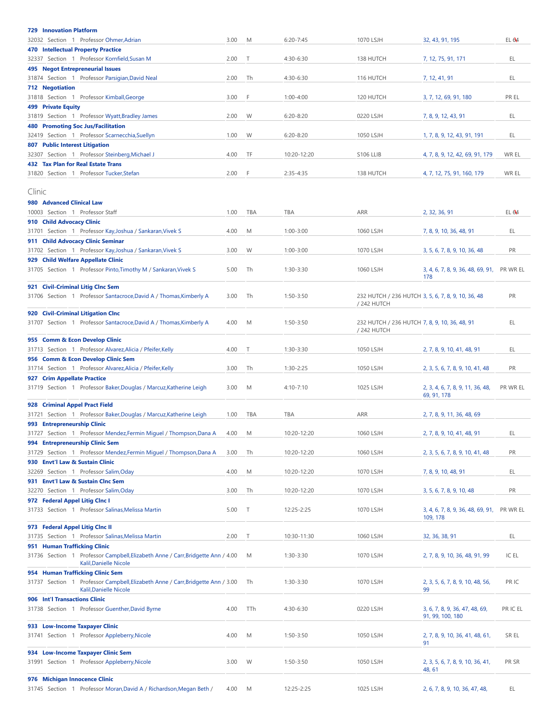<span id="page-4-0"></span>

| <b>729 Innovation Platform</b>                                                                            |      |        |               |                                                              |                                                 |                  |
|-----------------------------------------------------------------------------------------------------------|------|--------|---------------|--------------------------------------------------------------|-------------------------------------------------|------------------|
| 32032 Section 1 Professor Ohmer, Adrian                                                                   | 3.00 | M      | $6:20 - 7:45$ | 1070 LSJH                                                    | 32, 43, 91, 195                                 | EL 64            |
| <b>470 Intellectual Property Practice</b>                                                                 |      |        |               |                                                              |                                                 |                  |
| 32337 Section 1 Professor Kornfield, Susan M                                                              | 2.00 | T      | 4:30-6:30     | 138 HUTCH                                                    | 7, 12, 75, 91, 171                              | EL               |
| <b>495 Negot Entrepreneurial Issues</b><br>31874 Section 1 Professor Parsigian, David Neal                | 2.00 | Th     | 4:30-6:30     | 116 HUTCH                                                    | 7, 12, 41, 91                                   | EL               |
| <b>712 Negotiation</b>                                                                                    |      |        |               |                                                              |                                                 |                  |
| 31818 Section 1 Professor Kimball, George                                                                 | 3.00 | F      | $1:00 - 4:00$ | 120 HUTCH                                                    | 3, 7, 12, 69, 91, 180                           | PR EL            |
| 499 Private Equity                                                                                        |      |        |               |                                                              |                                                 |                  |
| 31819 Section 1 Professor Wyatt, Bradley James                                                            | 2.00 | W      | $6:20 - 8:20$ | 0220 LSJH                                                    | 7, 8, 9, 12, 43, 91                             | EL               |
| <b>480 Promoting Soc Jus/Facilitation</b><br>32419 Section 1 Professor Scarnecchia, Suellyn               | 1.00 | W      | $6:20 - 8:20$ | 1050 LSJH                                                    |                                                 | EL               |
| <b>807 Public Interest Litigation</b>                                                                     |      |        |               |                                                              | 1, 7, 8, 9, 12, 43, 91, 191                     |                  |
| 32307 Section 1 Professor Steinberg, Michael J                                                            | 4.00 | TF     | 10:20-12:20   | S106 LLIB                                                    | 4, 7, 8, 9, 12, 42, 69, 91, 179                 | WR EL            |
| 432 Tax Plan for Real Estate Trans                                                                        |      |        |               |                                                              |                                                 |                  |
| 31820 Section 1 Professor Tucker, Stefan                                                                  | 2.00 | F      | 2:35-4:35     | 138 HUTCH                                                    | 4, 7, 12, 75, 91, 160, 179                      | WR EL            |
|                                                                                                           |      |        |               |                                                              |                                                 |                  |
| Clinic<br>980 Advanced Clinical Law                                                                       |      |        |               |                                                              |                                                 |                  |
| 10003 Section 1 Professor Staff                                                                           | 1.00 | TBA    | TBA           | ARR                                                          | 2, 32, 36, 91                                   | EL <sub>64</sub> |
| 910 Child Advocacy Clinic                                                                                 |      |        |               |                                                              |                                                 |                  |
| 31701 Section 1 Professor Kay, Joshua / Sankaran, Vivek S                                                 | 4.00 | M      | $1:00 - 3:00$ | 1060 LSJH                                                    | 7, 8, 9, 10, 36, 48, 91                         | EL               |
| 911 Child Advocacy Clinic Seminar                                                                         |      |        |               |                                                              |                                                 |                  |
| 31702 Section 1 Professor Kay, Joshua / Sankaran, Vivek S                                                 | 3.00 | W      | $1:00 - 3:00$ | 1070 LSJH                                                    | 3, 5, 6, 7, 8, 9, 10, 36, 48                    | <b>PR</b>        |
| 929 Child Welfare Appellate Clinic                                                                        |      |        |               |                                                              |                                                 |                  |
| 31705 Section 1 Professor Pinto, Timothy M / Sankaran, Vivek S                                            | 5.00 | Th     | 1:30-3:30     | 1060 LSJH                                                    | 3, 4, 6, 7, 8, 9, 36, 48, 69, 91,<br>178        | PR WR EL         |
| 921 Civil-Criminal Litig Clnc Sem                                                                         |      |        |               |                                                              |                                                 |                  |
| 31706 Section 1 Professor Santacroce, David A / Thomas, Kimberly A                                        | 3.00 | Th     | $1:50-3:50$   | 232 HUTCH / 236 HUTCH 3, 5, 6, 7, 8, 9, 10, 36, 48           |                                                 | PR               |
|                                                                                                           |      |        |               | / 242 HUTCH                                                  |                                                 |                  |
| 920 Civil-Criminal Litigation Clnc                                                                        |      |        |               |                                                              |                                                 |                  |
| 31707 Section 1 Professor Santacroce, David A / Thomas, Kimberly A                                        | 4.00 | M      | $1:50 - 3:50$ | 232 HUTCH / 236 HUTCH 7, 8, 9, 10, 36, 48, 91<br>/ 242 HUTCH |                                                 | EL               |
| 955 Comm & Econ Develop Clinic                                                                            |      |        |               |                                                              |                                                 |                  |
| 31713 Section 1 Professor Alvarez, Alicia / Pfeifer, Kelly                                                | 4.00 | — Т    | 1:30-3:30     | 1050 LSJH                                                    | 2, 7, 8, 9, 10, 41, 48, 91                      | EL               |
| 956 Comm & Econ Develop Clinic Sem                                                                        |      |        |               |                                                              |                                                 |                  |
| 31714 Section 1 Professor Alvarez, Alicia / Pfeifer, Kelly                                                | 3.00 | Th     | 1:30-2:25     | 1050 LSJH                                                    | 2, 3, 5, 6, 7, 8, 9, 10, 41, 48                 | PR               |
| 927 Crim Appellate Practice                                                                               |      |        |               |                                                              |                                                 |                  |
| 31719 Section 1 Professor Baker, Douglas / Marcuz, Katherine Leigh                                        | 3.00 | M      | $4:10 - 7:10$ | 1025 LSJH                                                    | 2, 3, 4, 6, 7, 8, 9, 11, 36, 48,<br>69, 91, 178 | PR WR EL         |
| 928 Criminal Appel Pract Field                                                                            |      |        |               |                                                              |                                                 |                  |
| 31721 Section 1 Professor Baker, Douglas / Marcuz, Katherine Leigh                                        | 1.00 | TBA    | TBA           | ARR                                                          | 2, 7, 8, 9, 11, 36, 48, 69                      |                  |
| 993 Entrepreneurship Clinic                                                                               |      |        |               |                                                              |                                                 |                  |
| 31727 Section 1 Professor Mendez, Fermin Miguel / Thompson, Dana A                                        | 4.00 | M      | 10:20-12:20   | 1060 LSJH                                                    | 2, 7, 8, 9, 10, 41, 48, 91                      | EL               |
| 994 Entrepreneurship Clinic Sem                                                                           |      |        |               |                                                              |                                                 |                  |
| 31729 Section 1 Professor Mendez, Fermin Miguel / Thompson, Dana A                                        | 3.00 | Th     | 10:20-12:20   | 1060 LSJH                                                    | 2, 3, 5, 6, 7, 8, 9, 10, 41, 48                 | PR               |
| 930 Envt'l Law & Sustain Clinic<br>32269 Section 1 Professor Salim, Oday                                  | 4.00 | M      | 10:20-12:20   | 1070 LSJH                                                    | 7, 8, 9, 10, 48, 91                             | EL               |
| 931 Envt'l Law & Sustain Clnc Sem                                                                         |      |        |               |                                                              |                                                 |                  |
| 32270 Section 1 Professor Salim, Oday                                                                     | 3.00 | Th     | 10:20-12:20   | 1070 LSJH                                                    | 3, 5, 6, 7, 8, 9, 10, 48                        | PR               |
| 972 Federal Appel Litig Clnc I                                                                            |      |        |               |                                                              |                                                 |                  |
| 31733 Section 1 Professor Salinas, Melissa Martin                                                         | 5.00 | $\top$ | 12:25-2:25    | 1070 LSJH                                                    | 3, 4, 6, 7, 8, 9, 36, 48, 69, 91,               | PR WR EL         |
|                                                                                                           |      |        |               |                                                              | 109, 178                                        |                  |
| 973 Federal Appel Litig Clnc II<br>Section 1 Professor Salinas, Melissa Martin<br>31735                   | 2.00 | T      | 10:30-11:30   | 1060 LSJH                                                    | 32, 36, 38, 91                                  | EL               |
| 951 Human Trafficking Clinic                                                                              |      |        |               |                                                              |                                                 |                  |
| 31736 Section 1 Professor Campbell, Elizabeth Anne / Carr, Bridgette Ann / 4.00                           |      | M      | 1:30-3:30     | 1070 LSJH                                                    | 2, 7, 8, 9, 10, 36, 48, 91, 99                  | IC EL            |
| Kalil, Danielle Nicole                                                                                    |      |        |               |                                                              |                                                 |                  |
| 954 Human Trafficking Clinic Sem                                                                          |      |        |               |                                                              |                                                 |                  |
| 31737 Section 1 Professor Campbell, Elizabeth Anne / Carr, Bridgette Ann / 3.00<br>Kalil, Danielle Nicole |      | Th     | 1:30-3:30     | 1070 LSJH                                                    | 2, 3, 5, 6, 7, 8, 9, 10, 48, 56,<br>99          | PR IC            |
| 906 Int'l Transactions Clinic                                                                             |      |        |               |                                                              |                                                 |                  |
| 31738 Section 1 Professor Guenther, David Byrne                                                           | 4.00 | TTh    | 4:30-6:30     | 0220 LSJH                                                    | 3, 6, 7, 8, 9, 36, 47, 48, 69,                  | PR IC EL         |
|                                                                                                           |      |        |               |                                                              | 91, 99, 100, 180                                |                  |
| 933 Low-Income Taxpayer Clinic                                                                            |      |        |               |                                                              |                                                 |                  |
| 31741 Section 1 Professor Appleberry, Nicole                                                              | 4.00 | M      | $1:50-3:50$   | 1050 LSJH                                                    | 2, 7, 8, 9, 10, 36, 41, 48, 61,                 | SR EL            |
| 934 Low-Income Taxpayer Clinic Sem                                                                        |      |        |               |                                                              | 91                                              |                  |
| 31991 Section 1 Professor Appleberry, Nicole                                                              | 3.00 | W      | 1:50-3:50     | 1050 LSJH                                                    | 2, 3, 5, 6, 7, 8, 9, 10, 36, 41,                | PR SR            |
|                                                                                                           |      |        |               |                                                              | 48, 61                                          |                  |
| 976 Michigan Innocence Clinic                                                                             |      |        |               |                                                              |                                                 |                  |
| 31745 Section 1 Professor Moran, David A / Richardson, Megan Beth /                                       | 4.00 | M      | 12:25-2:25    | 1025 LSJH                                                    | 2, 6, 7, 8, 9, 10, 36, 47, 48,                  | EL               |